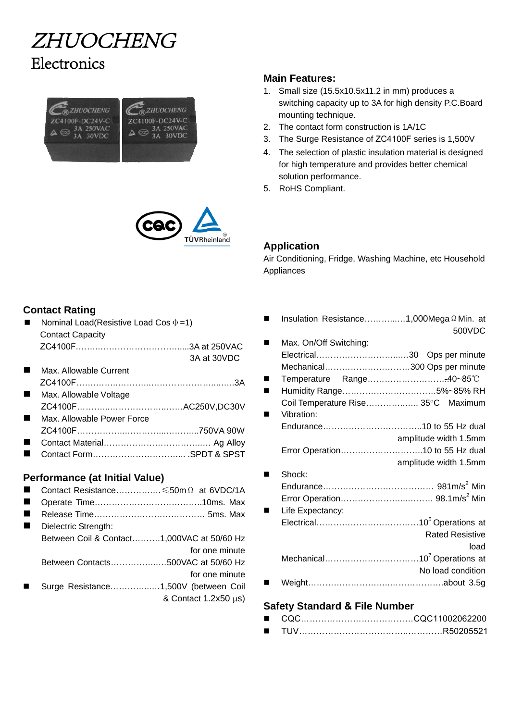## **ZHUOCHENG Electronics**





## **Main Features:**

- 1. Small size (15.5x10.5x11.2 in mm) produces a switching capacity up to 3A for high density P.C.Board mounting technique.
- 2. The contact form construction is 1A/1C
- 3. The Surge Resistance of ZC4100F series is 1,500V
- 4. The selection of plastic insulation material is designed for high temperature and provides better chemical solution performance.

Air Conditioning, Fridge, Washing Machine, etc Household

5. RoHS Compliant.

**Application** 

Appliances

## **Contact Rating**

- Nominal Load(Resistive Load Cos  $\phi = 1$ ) Contact Capacity ZC4100F.……..……………………….....3A at 250VAC
- Max. Allowable Current ZC4100F…….……..………...…………………....…..3A 3A at 30VDC
- **Max. Allowable Voltage** ZC4100F………...………………..……AC250V,DC30V Max. Allowable Power Force
- ZC4100F……………..…………...………...750VA 90W
- Contact Material……………………………..… Ag Alloy
- Contact Form…………………………... .SPDT & SPST

### **Performance (at Initial Value)**

- Contact Resistance………….…≤50mΩ at 6VDC/1A
- Operate Time………………………………..10ms. Max
- Release Time………………………………… 5ms. Max
- Dielectric Strength:
- Between Coil & Contact……….1,000VAC at 50/60 Hz for one minute
	- Between Contacts……………..…500VAC at 50/60 Hz
	- for one minute
- Surge Resistance…………...…1,500V (between Coil & Contact 1.2x50 μs)

## Insulation Resistance………...…1,000MegaΩMin. at 500VDC ■ Max. On/Off Switching: Electrical………………………...…30 Ops per minute Mechanical…………………………300 Ops per minute ■ Temperature Range..................................40~85℃ Humidity Range……………………………5%~85% RH Coil Temperature Rise…………..….. 35°C Maximum **Name Vibration:** Endurance……………………………..10 to 55 Hz dual amplitude width 1.5mm Error Operation………………………..10 to 55 Hz dual amplitude width 1.5mm ■ Shock: Endurance………………………………… 981m/s<sup>2</sup> Min Error Operation…………………...……… 98.1m/s<sup>2</sup> Min **Life Expectancy:** Electrical……………………………………………………10<sup>5</sup> Operations at Rated Resistive load Mechanical……………………………………10<sup>7</sup> Operations at No load condition Weight………………………..……………….about 3.5g **Safety Standard & File Number**

- CQC…………………………………CQC11002062200
- TUV………………………………..…………R50205521